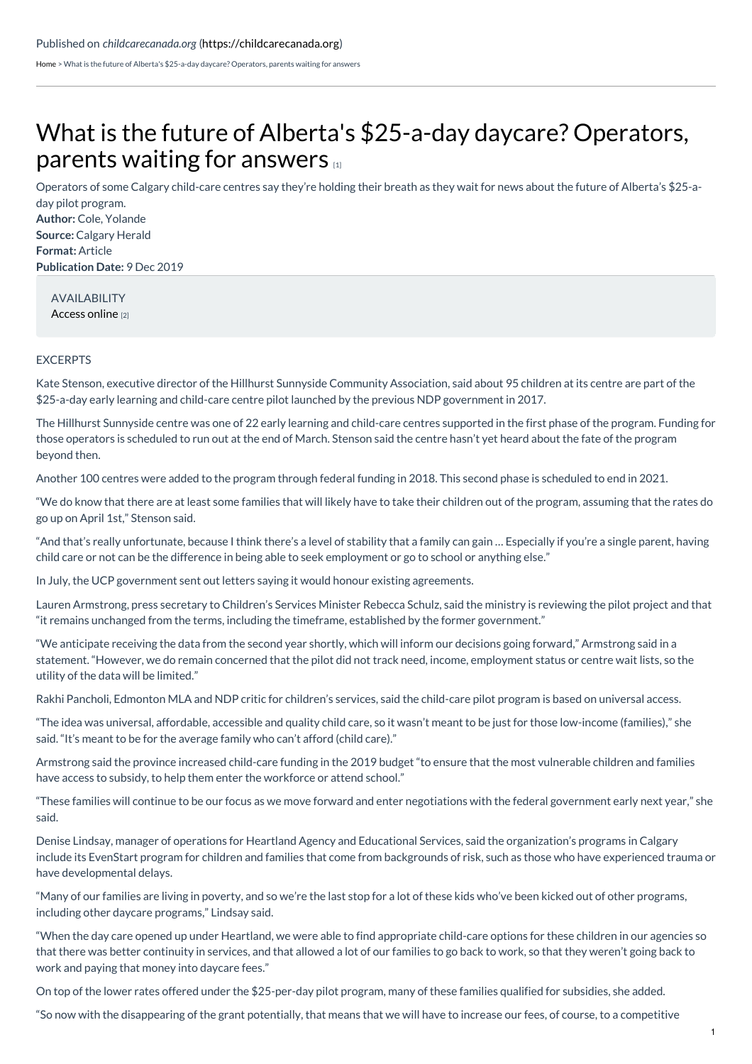[Home](https://childcarecanada.org/) > What is the future of Alberta's \$25-a-day daycare? Operators, parents waiting for answers

## What is the future of Alberta's \$25-a-day daycare? [Operators,](https://childcarecanada.org/documents/child-care-news/19/12/what-future-albertas-25-day-daycare-operators-parents-waiting) parents waiting for answers

Operators of some Calgary child-care centres say they're holding their breath as they wait for news about the future of Alberta's \$25-aday pilot program.

**Author:** Cole, Yolande **Source:** Calgary Herald **Format:** Article **Publication Date:** 9 Dec 2019

> AVAILABILITY [Access](https://calgaryherald.com/news/local-news/child-care-workers-parents-waiting-for-answers-on-future-of-alberta-pilot-program) online [2]

## EXCERPTS

Kate Stenson, executive director of the Hillhurst Sunnyside Community Association, said about 95 children at its centre are part of the \$25-a-day early learning and child-care centre pilot launched by the previous NDP government in 2017.

The Hillhurst Sunnyside centre was one of 22 early learning and child-care centres supported in the first phase of the program. Funding for those operators is scheduled to run out at the end of March. Stenson said the centre hasn't yet heard about the fate of the program beyond then.

Another 100 centres were added to the program through federal funding in 2018. This second phase is scheduled to end in 2021.

"We do know that there are at least some families that will likely have to take their children out of the program, assuming that the rates do go up on April 1st," Stenson said.

"And that's really unfortunate, because I think there's a level of stability that a family can gain … Especially if you're a single parent, having child care or not can be the difference in being able to seek employment or go to school or anything else."

In July, the UCP government sent out letters saying it would honour existing agreements.

Lauren Armstrong, press secretary to Children's Services Minister Rebecca Schulz, said the ministry is reviewing the pilot project and that "it remains unchanged from the terms, including the timeframe, established by the former government."

"We anticipate receiving the data from the second year shortly, which will inform our decisions going forward," Armstrong said in a statement. "However, we do remain concerned that the pilot did not track need, income, employment status or centre wait lists, so the utility of the data will be limited."

Rakhi Pancholi, Edmonton MLA and NDP critic for children's services, said the child-care pilot program is based on universal access.

"The idea was universal, affordable, accessible and quality child care, so it wasn't meant to be just for those low-income (families)," she said. "It's meant to be for the average family who can't afford (child care)."

Armstrong said the province increased child-care funding in the 2019 budget "to ensure that the most vulnerable children and families have access to subsidy, to help them enter the workforce or attend school."

"These families will continue to be our focus as we move forward and enter negotiations with the federal government early next year," she said.

Denise Lindsay, manager of operations for Heartland Agency and Educational Services, said the organization's programs in Calgary include its EvenStart program for children and families that come from backgrounds of risk, such as those who have experienced trauma or have developmental delays.

"Many of our families are living in poverty, and so we're the last stop for a lot of these kids who've been kicked out of other programs, including other daycare programs," Lindsay said.

"When the day care opened up under Heartland, we were able to find appropriate child-care options for these children in our agencies so that there was better continuity in services, and that allowed a lot of our families to go back to work, so that they weren't going back to work and paying that money into daycare fees."

On top of the lower rates offered under the \$25-per-day pilot program, many of these families qualified for subsidies, she added.

"So now with the disappearing of the grant potentially, that means that we will have to increase our fees, of course, to a competitive